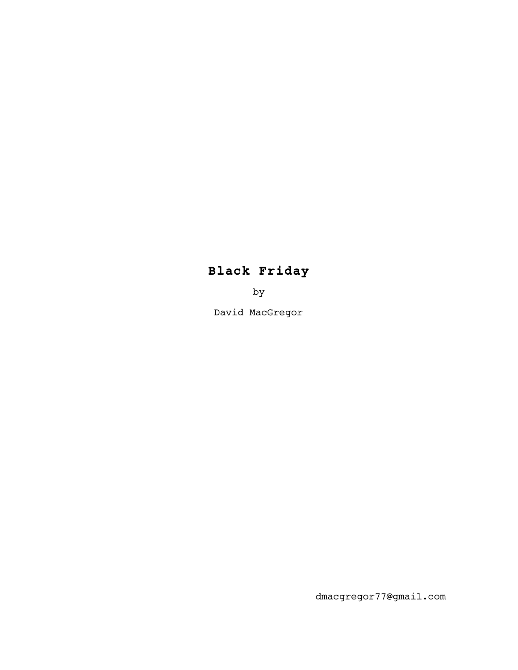# **Black Friday**

by

David MacGregor

dmacgregor77@gmail.com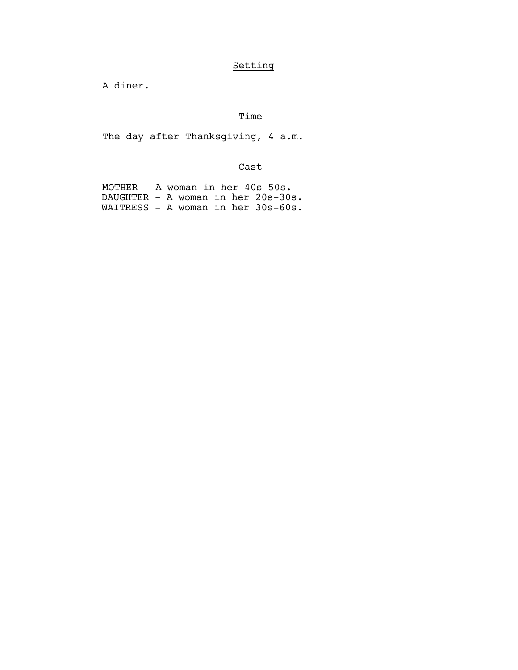## Setting

A diner.

## Time

The day after Thanksgiving, 4 a.m.

## Cast

| MOTHER $-$ A woman in her $40s-50s$ . |  |  |  |
|---------------------------------------|--|--|--|
| DAUGHTER - A woman in her 20s-30s.    |  |  |  |
| WAITRESS - A woman in her 30s-60s.    |  |  |  |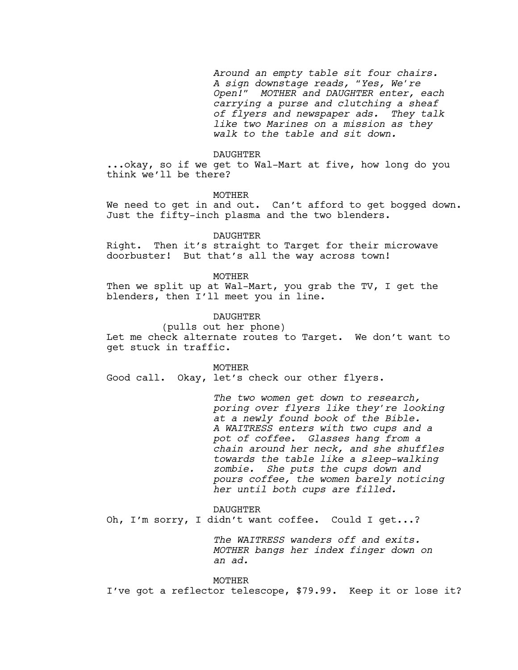*Around an empty table sit four chairs. A sign downstage reads, "Yes, We're Open!" MOTHER and DAUGHTER enter, each carrying a purse and clutching a sheaf of flyers and newspaper ads. They talk like two Marines on a mission as they walk to the table and sit down.*

#### DAUGHTER

...okay, so if we get to Wal-Mart at five, how long do you think we'll be there?

MOTHER

We need to get in and out. Can't afford to get bogged down. Just the fifty-inch plasma and the two blenders.

#### DAUGHTER

Right. Then it's straight to Target for their microwave doorbuster! But that's all the way across town!

#### MOTHER

Then we split up at Wal-Mart, you grab the TV, I get the blenders, then I'll meet you in line.

## DAUGHTER

(pulls out her phone) Let me check alternate routes to Target. We don't want to get stuck in traffic.

#### MOTHER

Good call. Okay, let's check our other flyers.

*The two women get down to research, poring over flyers like they're looking at a newly found book of the Bible. A WAITRESS enters with two cups and a pot of coffee. Glasses hang from a chain around her neck, and she shuffles towards the table like a sleep-walking zombie. She puts the cups down and pours coffee, the women barely noticing her until both cups are filled.*

#### DAUGHTER

Oh, I'm sorry, I didn't want coffee. Could I get...?

*The WAITRESS wanders off and exits. MOTHER bangs her index finger down on an ad.*

MOTHER I've got a reflector telescope, \$79.99. Keep it or lose it?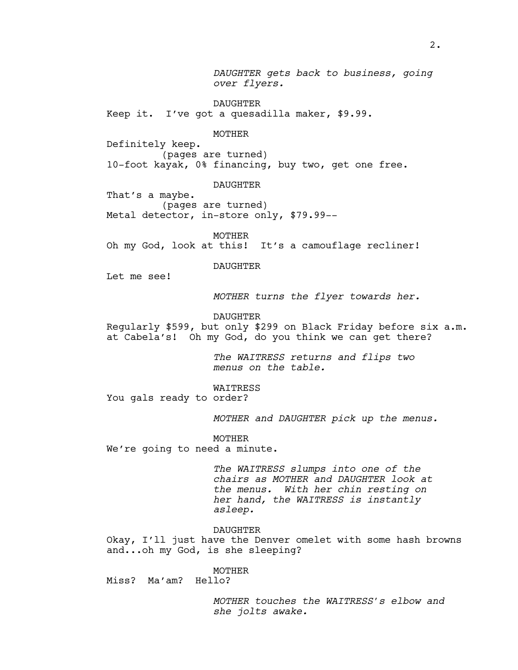*DAUGHTER gets back to business, going over flyers.*

DAUGHTER

Keep it. I've got a quesadilla maker, \$9.99.

MOTHER

Definitely keep. (pages are turned) 10-foot kayak, 0% financing, buy two, get one free.

DAUGHTER

That's a maybe. (pages are turned) Metal detector, in-store only, \$79.99--

MOTHER Oh my God, look at this! It's a camouflage recliner!

DAUGHTER

Let me see!

*MOTHER turns the flyer towards her.*

DAUGHTER

Regularly \$599, but only \$299 on Black Friday before six a.m. at Cabela's! Oh my God, do you think we can get there?

> *The WAITRESS returns and flips two menus on the table.*

WAITRESS

You gals ready to order?

*MOTHER and DAUGHTER pick up the menus.*

MOTHER

We're going to need a minute.

*The WAITRESS slumps into one of the chairs as MOTHER and DAUGHTER look at the menus. With her chin resting on her hand, the WAITRESS is instantly asleep.*

DAUGHTER

Okay, I'll just have the Denver omelet with some hash browns and...oh my God, is she sleeping?

MOTHER Miss? Ma'am? Hello?

> *MOTHER touches the WAITRESS's elbow and she jolts awake.*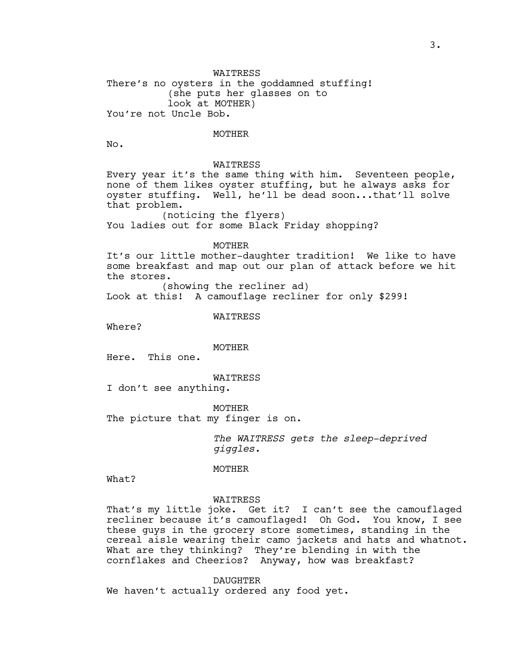WAITRESS There's no oysters in the goddamned stuffing! (she puts her glasses on to look at MOTHER) You're not Uncle Bob.

#### MOTHER

No.

## WAITRESS

Every year it's the same thing with him. Seventeen people, none of them likes oyster stuffing, but he always asks for oyster stuffing. Well, he'll be dead soon...that'll solve that problem.

(noticing the flyers) You ladies out for some Black Friday shopping?

#### MOTHER

It's our little mother-daughter tradition! We like to have some breakfast and map out our plan of attack before we hit the stores.

(showing the recliner ad)

Look at this! A camouflage recliner for only \$299!

#### WAITRESS

Where?

#### MOTHER

Here. This one.

WAITRESS

I don't see anything.

MOTHER The picture that my finger is on.

> *The WAITRESS gets the sleep-deprived giggles.*

### MOTHER

What?

#### WAITRESS

That's my little joke. Get it? I can't see the camouflaged recliner because it's camouflaged! Oh God. You know, I see these guys in the grocery store sometimes, standing in the cereal aisle wearing their camo jackets and hats and whatnot. What are they thinking? They're blending in with the cornflakes and Cheerios? Anyway, how was breakfast?

DAUGHTER We haven't actually ordered any food yet.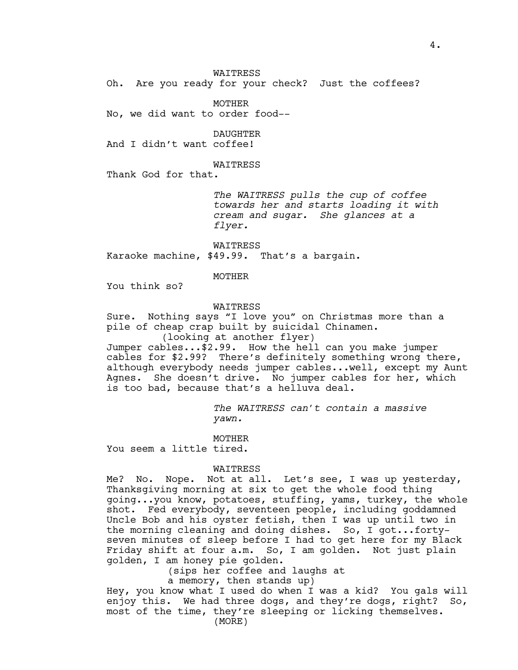WAITRESS

Oh. Are you ready for your check? Just the coffees?

MOTHER

No, we did want to order food--

DAUGHTER

And I didn't want coffee!

#### WAITRESS

Thank God for that.

*The WAITRESS pulls the cup of coffee towards her and starts loading it with cream and sugar. She glances at a flyer.*

WAITRESS Karaoke machine, \$49.99. That's a bargain.

#### MOTHER

You think so?

## WAITRESS

Sure. Nothing says "I love you" on Christmas more than a pile of cheap crap built by suicidal Chinamen. (looking at another flyer)

Jumper cables...\$2.99. How the hell can you make jumper cables for \$2.99? There's definitely something wrong there, although everybody needs jumper cables...well, except my Aunt Agnes. She doesn't drive. No jumper cables for her, which is too bad, because that's a helluva deal.

> *The WAITRESS can't contain a massive yawn.*

MOTHER

You seem a little tired.

### WAITRESS

Me? No. Nope. Not at all. Let's see, I was up yesterday, Thanksgiving morning at six to get the whole food thing going...you know, potatoes, stuffing, yams, turkey, the whole shot. Fed everybody, seventeen people, including goddamned Uncle Bob and his oyster fetish, then I was up until two in the morning cleaning and doing dishes. So, I got...fortyseven minutes of sleep before I had to get here for my Black Friday shift at four a.m. So, I am golden. Not just plain golden, I am honey pie golden.

(sips her coffee and laughs at

a memory, then stands up)

Hey, you know what I used do when I was a kid? You gals will enjoy this. We had three dogs, and they're dogs, right? So, most of the time, they're sleeping or licking themselves. (MORE)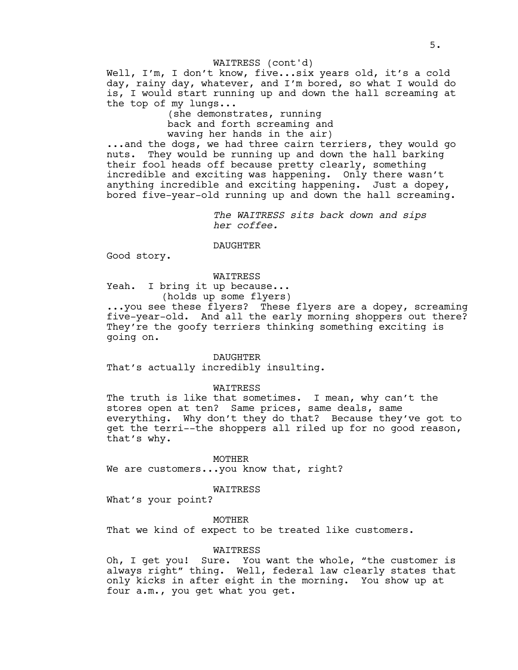Well, I'm, I don't know, five...six years old, it's a cold day, rainy day, whatever, and I'm bored, so what I would do is, I would start running up and down the hall screaming at the top of my lungs... WAITRESS (cont'd)

> (she demonstrates, running back and forth screaming and waving her hands in the air)

...and the dogs, we had three cairn terriers, they would go nuts. They would be running up and down the hall barking their fool heads off because pretty clearly, something incredible and exciting was happening. Only there wasn't anything incredible and exciting happening. Just a dopey, bored five-year-old running up and down the hall screaming.

> *The WAITRESS sits back down and sips her coffee.*

#### DAUGHTER

Good story.

#### WAITRESS

Yeah. I bring it up because... (holds up some flyers)

...you see these flyers? These flyers are a dopey, screaming five-year-old. And all the early morning shoppers out there? They're the goofy terriers thinking something exciting is going on.

#### DAUGHTER

That's actually incredibly insulting.

#### WAITRESS

The truth is like that sometimes. I mean, why can't the stores open at ten? Same prices, same deals, same everything. Why don't they do that? Because they've got to get the terri--the shoppers all riled up for no good reason, that's why.

MOTHER We are customers...you know that, right?

WAITRESS

What's your point?

MOTHER

That we kind of expect to be treated like customers.

## WAITRESS

Oh, I get you! Sure. You want the whole, "the customer is always right" thing. Well, federal law clearly states that only kicks in after eight in the morning. You show up at four a.m., you get what you get.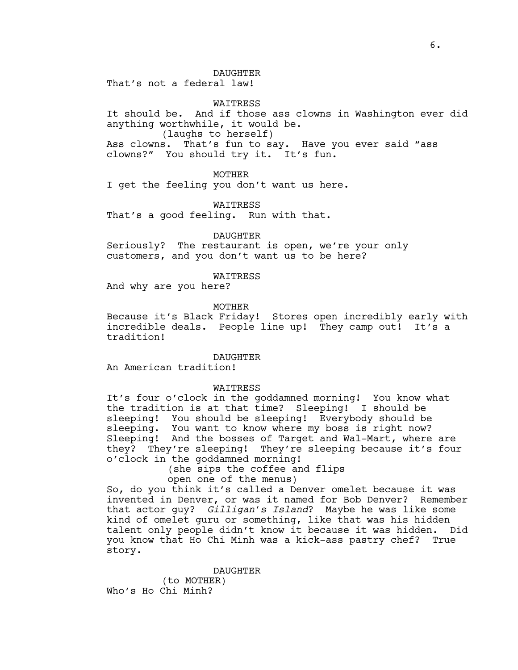That's not a federal law!

WAITRESS

It should be. And if those ass clowns in Washington ever did anything worthwhile, it would be. (laughs to herself) Ass clowns. That's fun to say. Have you ever said "ass

clowns?" You should try it. It's fun.

MOTHER

I get the feeling you don't want us here.

WAITRESS That's a good feeling. Run with that.

DAUGHTER

Seriously? The restaurant is open, we're your only customers, and you don't want us to be here?

WAITRESS

And why are you here?

**MOTHER** 

Because it's Black Friday! Stores open incredibly early with incredible deals. People line up! They camp out! It's a tradition!

DAUGHTER

An American tradition!

**WATTRESS** 

It's four o'clock in the goddamned morning! You know what the tradition is at that time? Sleeping! I should be sleeping! You should be sleeping! Everybody should be sleeping. You want to know where my boss is right now? Sleeping! And the bosses of Target and Wal-Mart, where are they? They're sleeping! They're sleeping because it's four o'clock in the goddamned morning!

(she sips the coffee and flips

open one of the menus)

So, do you think it's called a Denver omelet because it was invented in Denver, or was it named for Bob Denver? Remember that actor guy? *Gilligan's Island*? Maybe he was like some kind of omelet guru or something, like that was his hidden talent only people didn't know it because it was hidden. Did you know that Ho Chi Minh was a kick-ass pastry chef? True story.

> DAUGHTER (to MOTHER)

Who's Ho Chi Minh?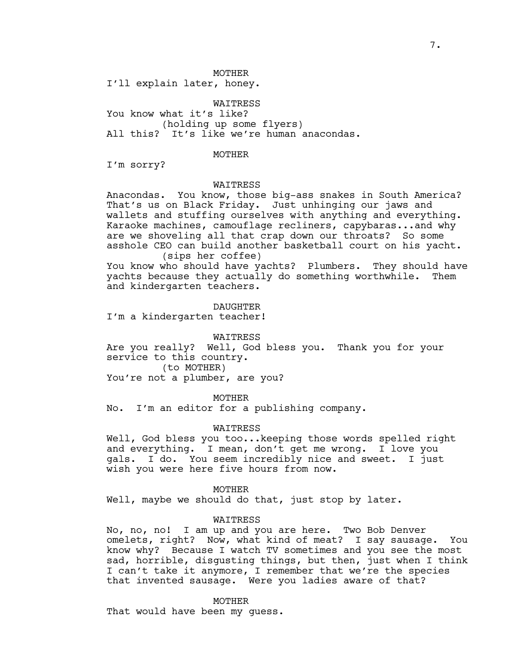MOTHER

I'll explain later, honey.

WAITRESS You know what it's like? (holding up some flyers) All this? It's like we're human anacondas.

## MOTHER

I'm sorry?

#### WAITRESS

Anacondas. You know, those big-ass snakes in South America? That's us on Black Friday. Just unhinging our jaws and wallets and stuffing ourselves with anything and everything. Karaoke machines, camouflage recliners, capybaras...and why are we shoveling all that crap down our throats? So some asshole CEO can build another basketball court on his yacht. (sips her coffee)

You know who should have yachts? Plumbers. They should have yachts because they actually do something worthwhile. Them and kindergarten teachers.

DAUGHTER

I'm a kindergarten teacher!

#### WAITRESS

Are you really? Well, God bless you. Thank you for your service to this country. (to MOTHER)

You're not a plumber, are you?

MOTHER

No. I'm an editor for a publishing company.

#### WAITRESS

Well, God bless you too... keeping those words spelled right and everything. I mean, don't get me wrong. I love you gals. I do. You seem incredibly nice and sweet. I just wish you were here five hours from now.

#### MOTHER

Well, maybe we should do that, just stop by later.

#### WAITRESS

No, no, no! I am up and you are here. Two Bob Denver omelets, right? Now, what kind of meat? I say sausage. You know why? Because I watch TV sometimes and you see the most sad, horrible, disgusting things, but then, just when I think I can't take it anymore, I remember that we're the species that invented sausage. Were you ladies aware of that?

MOTHER

That would have been my guess.